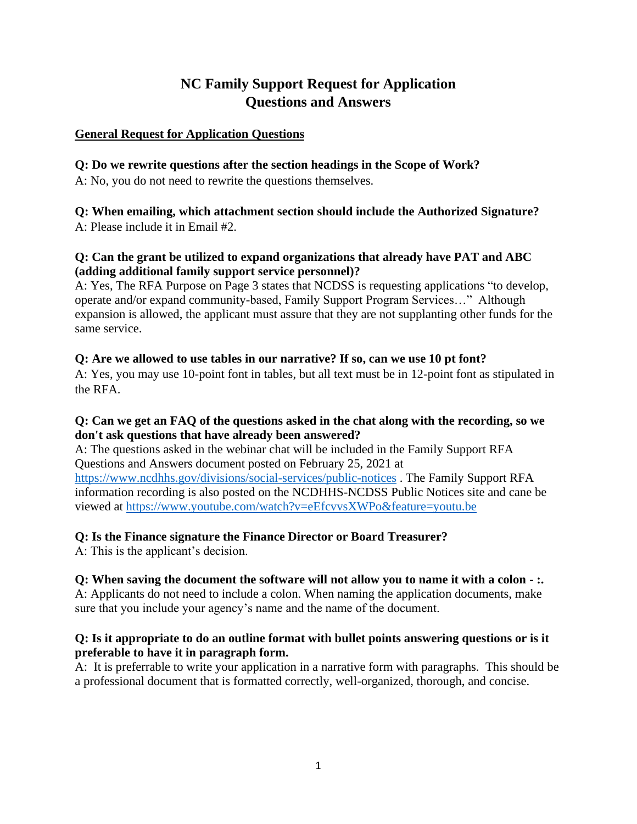# **NC Family Support Request for Application Questions and Answers**

### **General Request for Application Questions**

### **Q: Do we rewrite questions after the section headings in the Scope of Work?**

A: No, you do not need to rewrite the questions themselves.

# **Q: When emailing, which attachment section should include the Authorized Signature?**

A: Please include it in Email #2.

# **Q: Can the grant be utilized to expand organizations that already have PAT and ABC (adding additional family support service personnel)?**

A: Yes, The RFA Purpose on Page 3 states that NCDSS is requesting applications "to develop, operate and/or expand community-based, Family Support Program Services…" Although expansion is allowed, the applicant must assure that they are not supplanting other funds for the same service.

# **Q: Are we allowed to use tables in our narrative? If so, can we use 10 pt font?**

A: Yes, you may use 10-point font in tables, but all text must be in 12-point font as stipulated in the RFA.

# **Q: Can we get an FAQ of the questions asked in the chat along with the recording, so we don't ask questions that have already been answered?**

A: The questions asked in the webinar chat will be included in the Family Support RFA Questions and Answers document posted on February 25, 2021 at <https://www.ncdhhs.gov/divisions/social-services/public-notices> . The Family Support RFA information recording is also posted on the NCDHHS-NCDSS Public Notices site and cane be viewed at<https://www.youtube.com/watch?v=eEfcvvsXWPo&feature=youtu.be>

# **Q: Is the Finance signature the Finance Director or Board Treasurer?**

A: This is the applicant's decision.

# **Q: When saving the document the software will not allow you to name it with a colon - :.**

A: Applicants do not need to include a colon. When naming the application documents, make sure that you include your agency's name and the name of the document.

## **Q: Is it appropriate to do an outline format with bullet points answering questions or is it preferable to have it in paragraph form.**

A: It is preferrable to write your application in a narrative form with paragraphs. This should be a professional document that is formatted correctly, well-organized, thorough, and concise.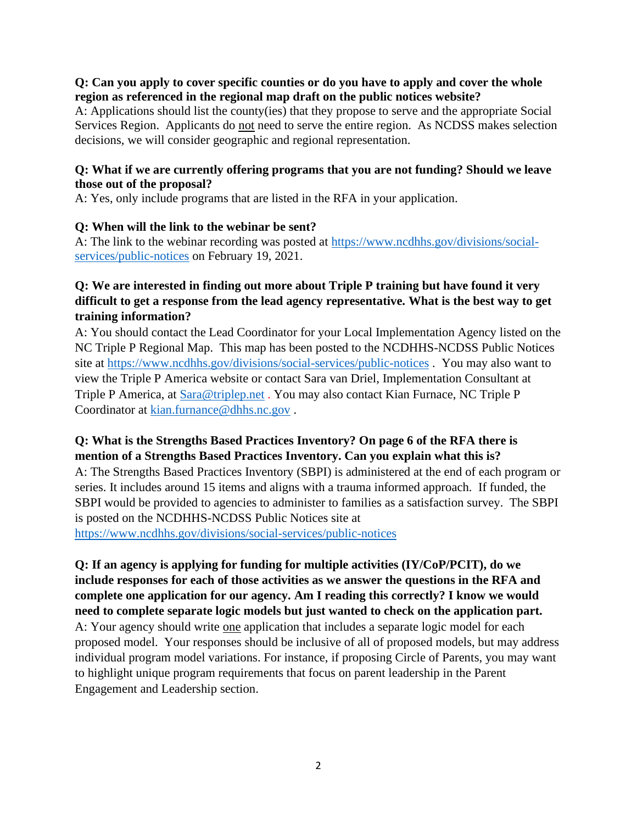#### **Q: Can you apply to cover specific counties or do you have to apply and cover the whole region as referenced in the regional map draft on the public notices website?**

A: Applications should list the county(ies) that they propose to serve and the appropriate Social Services Region. Applicants do not need to serve the entire region. As NCDSS makes selection decisions, we will consider geographic and regional representation.

#### **Q: What if we are currently offering programs that you are not funding? Should we leave those out of the proposal?**

A: Yes, only include programs that are listed in the RFA in your application.

### **Q: When will the link to the webinar be sent?**

A: The link to the webinar recording was posted at [https://www.ncdhhs.gov/divisions/social](https://www.ncdhhs.gov/divisions/social-services/public-notices)[services/public-notices](https://www.ncdhhs.gov/divisions/social-services/public-notices) on February 19, 2021.

## **Q: We are interested in finding out more about Triple P training but have found it very difficult to get a response from the lead agency representative. What is the best way to get training information?**

A: You should contact the Lead Coordinator for your Local Implementation Agency listed on the NC Triple P Regional Map. This map has been posted to the NCDHHS-NCDSS Public Notices site at<https://www.ncdhhs.gov/divisions/social-services/public-notices> . You may also want to view the Triple P America website or contact Sara van Driel, Implementation Consultant at Triple P America, at [Sara@triplep.net](mailto:Sara@triplep.net) . You may also contact Kian Furnace, NC Triple P Coordinator at [kian.furnance@dhhs.nc.gov](mailto:kian.furnance@dhhs.nc.gov) .

## **Q: What is the Strengths Based Practices Inventory? On page 6 of the RFA there is mention of a Strengths Based Practices Inventory. Can you explain what this is?**

A: The Strengths Based Practices Inventory (SBPI) is administered at the end of each program or series. It includes around 15 items and aligns with a trauma informed approach. If funded, the SBPI would be provided to agencies to administer to families as a satisfaction survey. The SBPI is posted on the NCDHHS-NCDSS Public Notices site at <https://www.ncdhhs.gov/divisions/social-services/public-notices>

# **Q: If an agency is applying for funding for multiple activities (IY/CoP/PCIT), do we include responses for each of those activities as we answer the questions in the RFA and complete one application for our agency. Am I reading this correctly? I know we would need to complete separate logic models but just wanted to check on the application part.** A: Your agency should write one application that includes a separate logic model for each proposed model. Your responses should be inclusive of all of proposed models, but may address individual program model variations. For instance, if proposing Circle of Parents, you may want to highlight unique program requirements that focus on parent leadership in the Parent Engagement and Leadership section.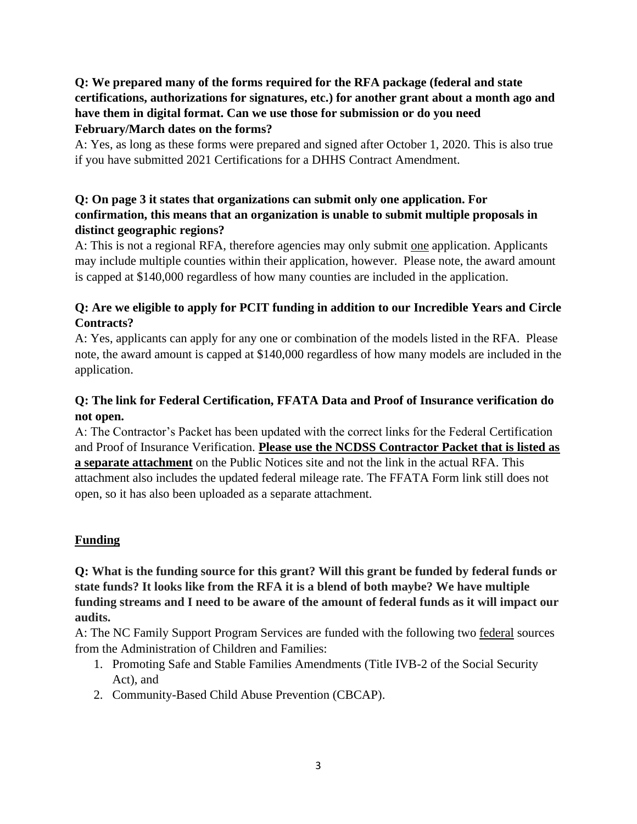# **Q: We prepared many of the forms required for the RFA package (federal and state certifications, authorizations for signatures, etc.) for another grant about a month ago and have them in digital format. Can we use those for submission or do you need February/March dates on the forms?**

A: Yes, as long as these forms were prepared and signed after October 1, 2020. This is also true if you have submitted 2021 Certifications for a DHHS Contract Amendment.

## **Q: On page 3 it states that organizations can submit only one application. For confirmation, this means that an organization is unable to submit multiple proposals in distinct geographic regions?**

A: This is not a regional RFA, therefore agencies may only submit one application. Applicants may include multiple counties within their application, however. Please note, the award amount is capped at \$140,000 regardless of how many counties are included in the application.

# **Q: Are we eligible to apply for PCIT funding in addition to our Incredible Years and Circle Contracts?**

A: Yes, applicants can apply for any one or combination of the models listed in the RFA. Please note, the award amount is capped at \$140,000 regardless of how many models are included in the application.

# **Q: The link for Federal Certification, FFATA Data and Proof of Insurance verification do not open.**

A: The Contractor's Packet has been updated with the correct links for the Federal Certification and Proof of Insurance Verification. **Please use the NCDSS Contractor Packet that is listed as a separate attachment** on the Public Notices site and not the link in the actual RFA. This attachment also includes the updated federal mileage rate. The FFATA Form link still does not open, so it has also been uploaded as a separate attachment.

# **Funding**

**Q: What is the funding source for this grant? Will this grant be funded by federal funds or state funds? It looks like from the RFA it is a blend of both maybe? We have multiple funding streams and I need to be aware of the amount of federal funds as it will impact our audits.**

A: The NC Family Support Program Services are funded with the following two federal sources from the Administration of Children and Families:

- 1. Promoting Safe and Stable Families Amendments (Title IVB-2 of the Social Security Act), and
- 2. Community-Based Child Abuse Prevention (CBCAP).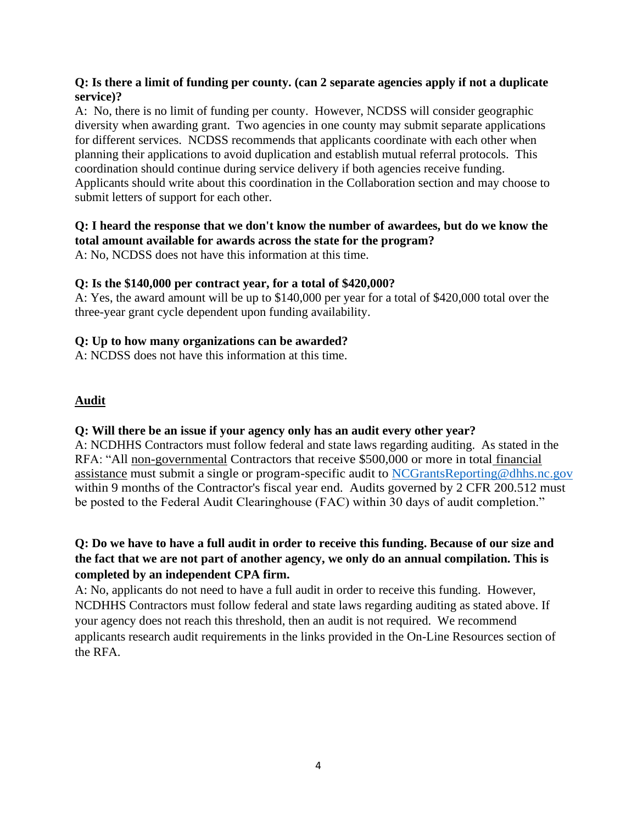### **Q: Is there a limit of funding per county. (can 2 separate agencies apply if not a duplicate service)?**

A: No, there is no limit of funding per county. However, NCDSS will consider geographic diversity when awarding grant. Two agencies in one county may submit separate applications for different services. NCDSS recommends that applicants coordinate with each other when planning their applications to avoid duplication and establish mutual referral protocols. This coordination should continue during service delivery if both agencies receive funding. Applicants should write about this coordination in the Collaboration section and may choose to submit letters of support for each other.

## **Q: I heard the response that we don't know the number of awardees, but do we know the total amount available for awards across the state for the program?**

A: No, NCDSS does not have this information at this time.

# **Q: Is the \$140,000 per contract year, for a total of \$420,000?**

A: Yes, the award amount will be up to \$140,000 per year for a total of \$420,000 total over the three-year grant cycle dependent upon funding availability.

# **Q: Up to how many organizations can be awarded?**

A: NCDSS does not have this information at this time.

# **Audit**

# **Q: Will there be an issue if your agency only has an audit every other year?**

A: NCDHHS Contractors must follow federal and state laws regarding auditing. As stated in the RFA: "All non-governmental Contractors that receive \$500,000 or more in total financial assistance must submit a single or program-specific audit to [NCGrantsReporting@dhhs.nc.gov](mailto:NCGrantsReporting@dhhs.nc.gov) within 9 months of the Contractor's fiscal year end. Audits governed by 2 CFR 200.512 must be posted to the Federal Audit Clearinghouse (FAC) within 30 days of audit completion."

# **Q: Do we have to have a full audit in order to receive this funding. Because of our size and the fact that we are not part of another agency, we only do an annual compilation. This is completed by an independent CPA firm.**

A: No, applicants do not need to have a full audit in order to receive this funding. However, NCDHHS Contractors must follow federal and state laws regarding auditing as stated above. If your agency does not reach this threshold, then an audit is not required. We recommend applicants research audit requirements in the links provided in the On-Line Resources section of the RFA.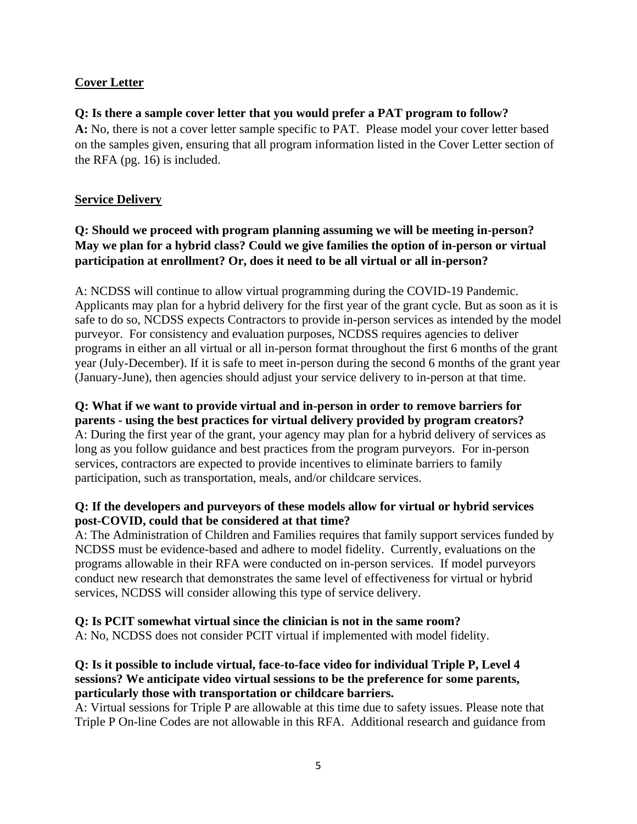# **Cover Letter**

### **Q: Is there a sample cover letter that you would prefer a PAT program to follow?**

**A:** No, there is not a cover letter sample specific to PAT. Please model your cover letter based on the samples given, ensuring that all program information listed in the Cover Letter section of the RFA (pg. 16) is included.

### **Service Delivery**

# **Q: Should we proceed with program planning assuming we will be meeting in-person? May we plan for a hybrid class? Could we give families the option of in-person or virtual participation at enrollment? Or, does it need to be all virtual or all in-person?**

A: NCDSS will continue to allow virtual programming during the COVID-19 Pandemic. Applicants may plan for a hybrid delivery for the first year of the grant cycle. But as soon as it is safe to do so, NCDSS expects Contractors to provide in-person services as intended by the model purveyor. For consistency and evaluation purposes, NCDSS requires agencies to deliver programs in either an all virtual or all in-person format throughout the first 6 months of the grant year (July-December). If it is safe to meet in-person during the second 6 months of the grant year (January-June), then agencies should adjust your service delivery to in-person at that time.

#### **Q: What if we want to provide virtual and in-person in order to remove barriers for parents - using the best practices for virtual delivery provided by program creators?**

A: During the first year of the grant, your agency may plan for a hybrid delivery of services as long as you follow guidance and best practices from the program purveyors. For in-person services, contractors are expected to provide incentives to eliminate barriers to family participation, such as transportation, meals, and/or childcare services.

### **Q: If the developers and purveyors of these models allow for virtual or hybrid services post-COVID, could that be considered at that time?**

A: The Administration of Children and Families requires that family support services funded by NCDSS must be evidence-based and adhere to model fidelity. Currently, evaluations on the programs allowable in their RFA were conducted on in-person services. If model purveyors conduct new research that demonstrates the same level of effectiveness for virtual or hybrid services, NCDSS will consider allowing this type of service delivery.

### **Q: Is PCIT somewhat virtual since the clinician is not in the same room?**

A: No, NCDSS does not consider PCIT virtual if implemented with model fidelity.

### **Q: Is it possible to include virtual, face-to-face video for individual Triple P, Level 4 sessions? We anticipate video virtual sessions to be the preference for some parents, particularly those with transportation or childcare barriers.**

A: Virtual sessions for Triple P are allowable at this time due to safety issues. Please note that Triple P On-line Codes are not allowable in this RFA. Additional research and guidance from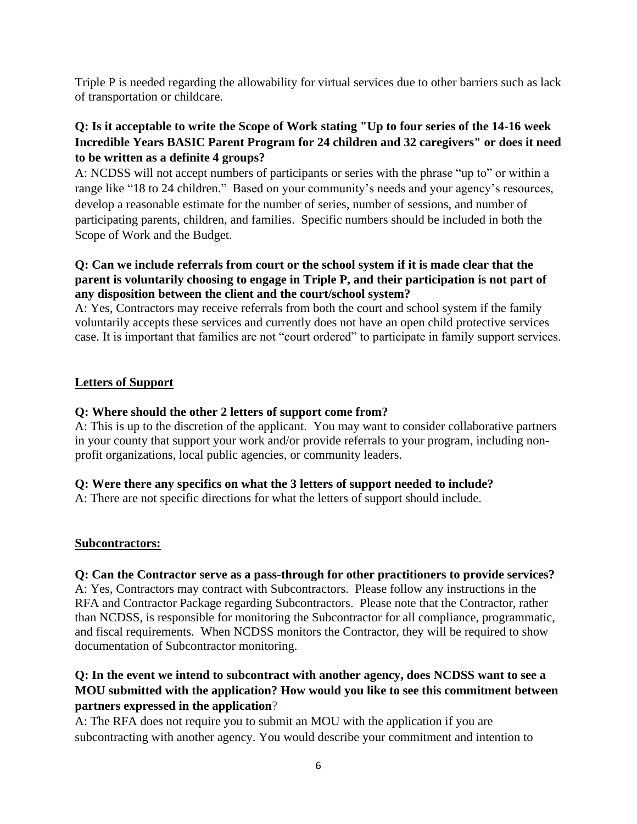Triple P is needed regarding the allowability for virtual services due to other barriers such as lack of transportation or childcare.

### **Q: Is it acceptable to write the Scope of Work stating "Up to four series of the 14-16 week Incredible Years BASIC Parent Program for 24 children and 32 caregivers" or does it need to be written as a definite 4 groups?**

A: NCDSS will not accept numbers of participants or series with the phrase "up to" or within a range like "18 to 24 children." Based on your community's needs and your agency's resources, develop a reasonable estimate for the number of series, number of sessions, and number of participating parents, children, and families. Specific numbers should be included in both the Scope of Work and the Budget.

#### **Q: Can we include referrals from court or the school system if it is made clear that the parent is voluntarily choosing to engage in Triple P, and their participation is not part of any disposition between the client and the court/school system?**

A: Yes, Contractors may receive referrals from both the court and school system if the family voluntarily accepts these services and currently does not have an open child protective services case. It is important that families are not "court ordered" to participate in family support services.

## **Letters of Support**

### **Q: Where should the other 2 letters of support come from?**

A: This is up to the discretion of the applicant. You may want to consider collaborative partners in your county that support your work and/or provide referrals to your program, including nonprofit organizations, local public agencies, or community leaders.

### **Q: Were there any specifics on what the 3 letters of support needed to include?**

A: There are not specific directions for what the letters of support should include.

### **Subcontractors:**

### **Q: Can the Contractor serve as a pass-through for other practitioners to provide services?**

A: Yes, Contractors may contract with Subcontractors. Please follow any instructions in the RFA and Contractor Package regarding Subcontractors. Please note that the Contractor, rather than NCDSS, is responsible for monitoring the Subcontractor for all compliance, programmatic, and fiscal requirements. When NCDSS monitors the Contractor, they will be required to show documentation of Subcontractor monitoring.

# **Q: In the event we intend to subcontract with another agency, does NCDSS want to see a MOU submitted with the application? How would you like to see this commitment between partners expressed in the application**?

A: The RFA does not require you to submit an MOU with the application if you are subcontracting with another agency. You would describe your commitment and intention to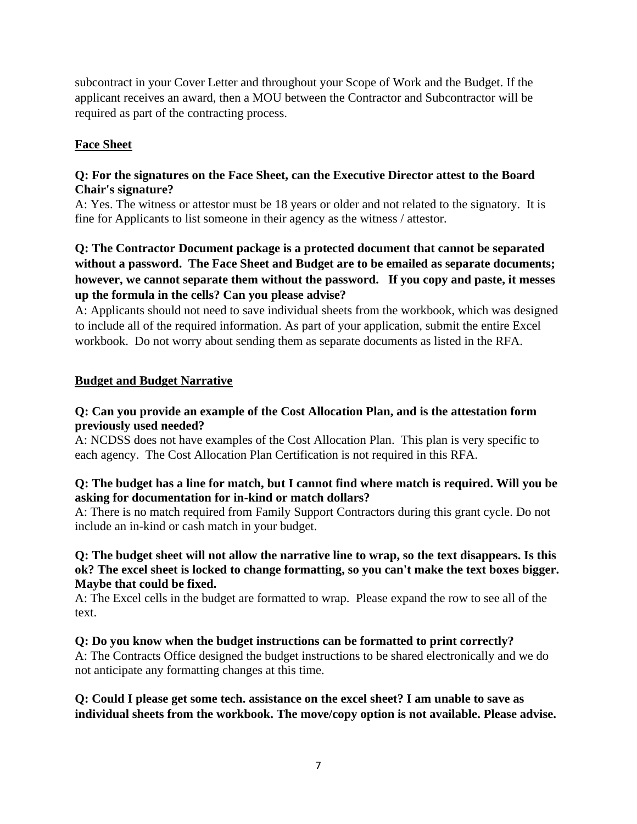subcontract in your Cover Letter and throughout your Scope of Work and the Budget. If the applicant receives an award, then a MOU between the Contractor and Subcontractor will be required as part of the contracting process.

### **Face Sheet**

### **Q: For the signatures on the Face Sheet, can the Executive Director attest to the Board Chair's signature?**

A: Yes. The witness or attestor must be 18 years or older and not related to the signatory. It is fine for Applicants to list someone in their agency as the witness / attestor.

## **Q: The Contractor Document package is a protected document that cannot be separated without a password. The Face Sheet and Budget are to be emailed as separate documents; however, we cannot separate them without the password. If you copy and paste, it messes up the formula in the cells? Can you please advise?**

A: Applicants should not need to save individual sheets from the workbook, which was designed to include all of the required information. As part of your application, submit the entire Excel workbook. Do not worry about sending them as separate documents as listed in the RFA.

## **Budget and Budget Narrative**

### **Q: Can you provide an example of the Cost Allocation Plan, and is the attestation form previously used needed?**

A: NCDSS does not have examples of the Cost Allocation Plan. This plan is very specific to each agency. The Cost Allocation Plan Certification is not required in this RFA.

### **Q: The budget has a line for match, but I cannot find where match is required. Will you be asking for documentation for in-kind or match dollars?**

A: There is no match required from Family Support Contractors during this grant cycle. Do not include an in-kind or cash match in your budget.

#### **Q: The budget sheet will not allow the narrative line to wrap, so the text disappears. Is this ok? The excel sheet is locked to change formatting, so you can't make the text boxes bigger. Maybe that could be fixed.**

A: The Excel cells in the budget are formatted to wrap. Please expand the row to see all of the text.

# **Q: Do you know when the budget instructions can be formatted to print correctly?**

A: The Contracts Office designed the budget instructions to be shared electronically and we do not anticipate any formatting changes at this time.

# **Q: Could I please get some tech. assistance on the excel sheet? I am unable to save as individual sheets from the workbook. The move/copy option is not available. Please advise.**